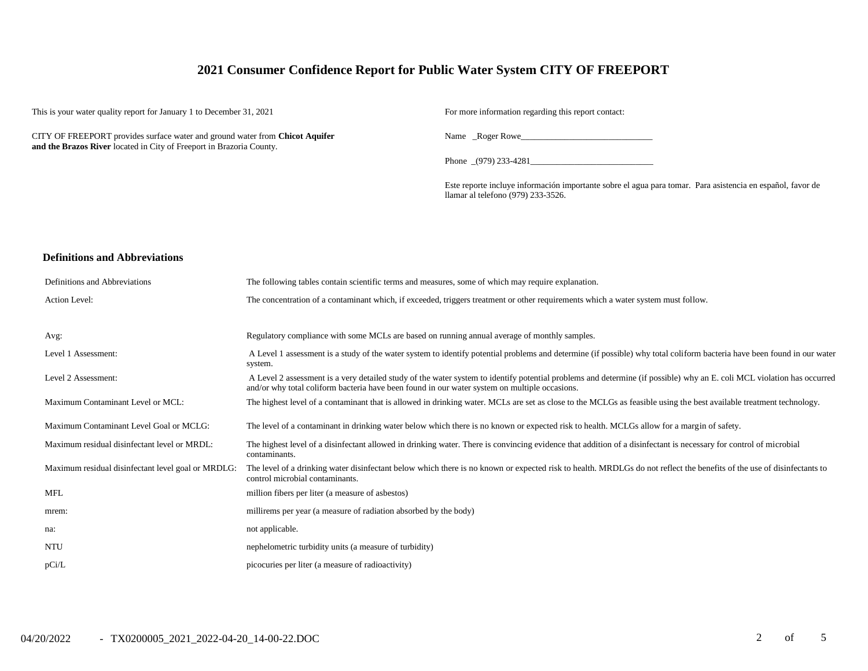## **2021 Consumer Confidence Report for Public Water System CITY OF FREEPORT**

This is your water quality report for January 1 to December 31, 2021 For more information regarding this report contact:

CITY OF FREEPORT provides surface water and ground water from **Chicot Aquifer and the Brazos River** located in City of Freeport in Brazoria County.

Name \_Roger Rowe

Phone \_(979) 233-4281\_

Este reporte incluye información importante sobre el agua para tomar. Para asistencia en español, favor de llamar al telefono (979) 233-3526.

#### **Definitions and Abbreviations**

| Definitions and Abbreviations                      | The following tables contain scientific terms and measures, some of which may require explanation.                                                                                                                                                                      |
|----------------------------------------------------|-------------------------------------------------------------------------------------------------------------------------------------------------------------------------------------------------------------------------------------------------------------------------|
| Action Level:                                      | The concentration of a contaminant which, if exceeded, triggers treatment or other requirements which a water system must follow.                                                                                                                                       |
|                                                    |                                                                                                                                                                                                                                                                         |
| Avg:                                               | Regulatory compliance with some MCLs are based on running annual average of monthly samples.                                                                                                                                                                            |
| Level 1 Assessment:                                | A Level 1 assessment is a study of the water system to identify potential problems and determine (if possible) why total coliform bacteria have been found in our water<br>system.                                                                                      |
| Level 2 Assessment:                                | A Level 2 assessment is a very detailed study of the water system to identify potential problems and determine (if possible) why an E. coli MCL violation has occurred<br>and/or why total coliform bacteria have been found in our water system on multiple occasions. |
| Maximum Contaminant Level or MCL:                  | The highest level of a contaminant that is allowed in drinking water. MCLs are set as close to the MCLGs as feasible using the best available treatment technology.                                                                                                     |
| Maximum Contaminant Level Goal or MCLG:            | The level of a contaminant in drinking water below which there is no known or expected risk to health. MCLGs allow for a margin of safety.                                                                                                                              |
| Maximum residual disinfectant level or MRDL:       | The highest level of a disinfectant allowed in drinking water. There is convincing evidence that addition of a disinfectant is necessary for control of microbial<br>contaminants.                                                                                      |
| Maximum residual disinfectant level goal or MRDLG: | The level of a drinking water disinfectant below which there is no known or expected risk to health. MRDLGs do not reflect the benefits of the use of disinfectants to<br>control microbial contaminants.                                                               |
| <b>MFL</b>                                         | million fibers per liter (a measure of asbestos)                                                                                                                                                                                                                        |
| mrem:                                              | millirems per year (a measure of radiation absorbed by the body)                                                                                                                                                                                                        |
| na:                                                | not applicable.                                                                                                                                                                                                                                                         |
| <b>NTU</b>                                         | nephelometric turbidity units (a measure of turbidity)                                                                                                                                                                                                                  |
| pCi/L                                              | picocuries per liter (a measure of radioactivity)                                                                                                                                                                                                                       |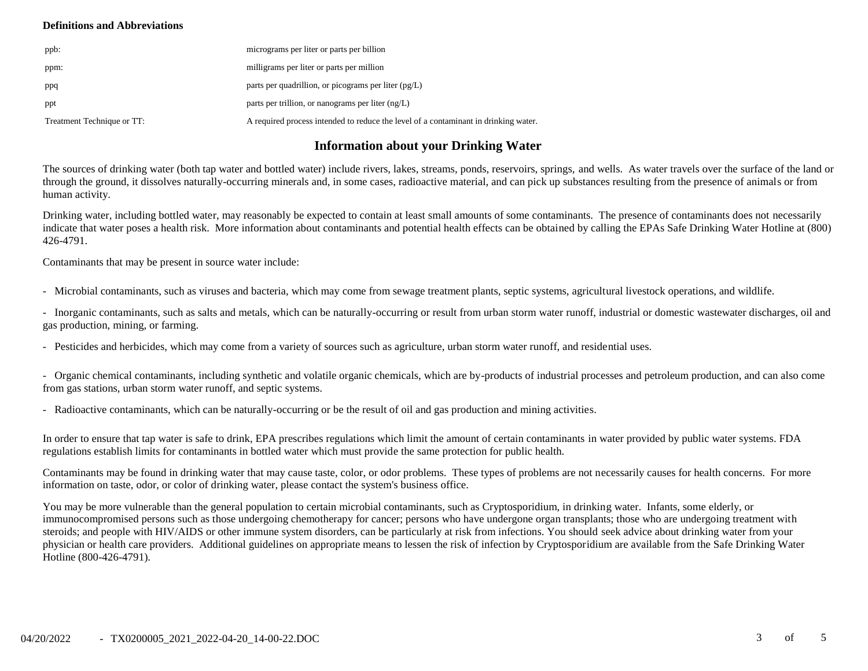### **Definitions and Abbreviations**

| ppb:                       | micrograms per liter or parts per billion                                           |
|----------------------------|-------------------------------------------------------------------------------------|
| ppm:                       | milligrams per liter or parts per million                                           |
| ppq                        | parts per quadrillion, or picograms per liter $(pg/L)$                              |
| ppt                        | parts per trillion, or nanograms per liter $(ng/L)$                                 |
| Treatment Technique or TT: | A required process intended to reduce the level of a contaminant in drinking water. |

## **Information about your Drinking Water**

The sources of drinking water (both tap water and bottled water) include rivers, lakes, streams, ponds, reservoirs, springs, and wells. As water travels over the surface of the land or through the ground, it dissolves naturally-occurring minerals and, in some cases, radioactive material, and can pick up substances resulting from the presence of animals or from human activity.

Drinking water, including bottled water, may reasonably be expected to contain at least small amounts of some contaminants. The presence of contaminants does not necessarily indicate that water poses a health risk. More information about contaminants and potential health effects can be obtained by calling the EPAs Safe Drinking Water Hotline at (800) 426-4791.

Contaminants that may be present in source water include:

- Microbial contaminants, such as viruses and bacteria, which may come from sewage treatment plants, septic systems, agricultural livestock operations, and wildlife.

- Inorganic contaminants, such as salts and metals, which can be naturally-occurring or result from urban storm water runoff, industrial or domestic wastewater discharges, oil and gas production, mining, or farming.

- Pesticides and herbicides, which may come from a variety of sources such as agriculture, urban storm water runoff, and residential uses.

- Organic chemical contaminants, including synthetic and volatile organic chemicals, which are by-products of industrial processes and petroleum production, and can also come from gas stations, urban storm water runoff, and septic systems.

- Radioactive contaminants, which can be naturally-occurring or be the result of oil and gas production and mining activities.

In order to ensure that tap water is safe to drink, EPA prescribes regulations which limit the amount of certain contaminants in water provided by public water systems. FDA regulations establish limits for contaminants in bottled water which must provide the same protection for public health.

Contaminants may be found in drinking water that may cause taste, color, or odor problems. These types of problems are not necessarily causes for health concerns. For more information on taste, odor, or color of drinking water, please contact the system's business office.

You may be more vulnerable than the general population to certain microbial contaminants, such as Cryptosporidium, in drinking water. Infants, some elderly, or immunocompromised persons such as those undergoing chemotherapy for cancer; persons who have undergone organ transplants; those who are undergoing treatment with steroids; and people with HIV/AIDS or other immune system disorders, can be particularly at risk from infections. You should seek advice about drinking water from your physician or health care providers. Additional guidelines on appropriate means to lessen the risk of infection by Cryptosporidium are available from the Safe Drinking Water Hotline (800-426-4791).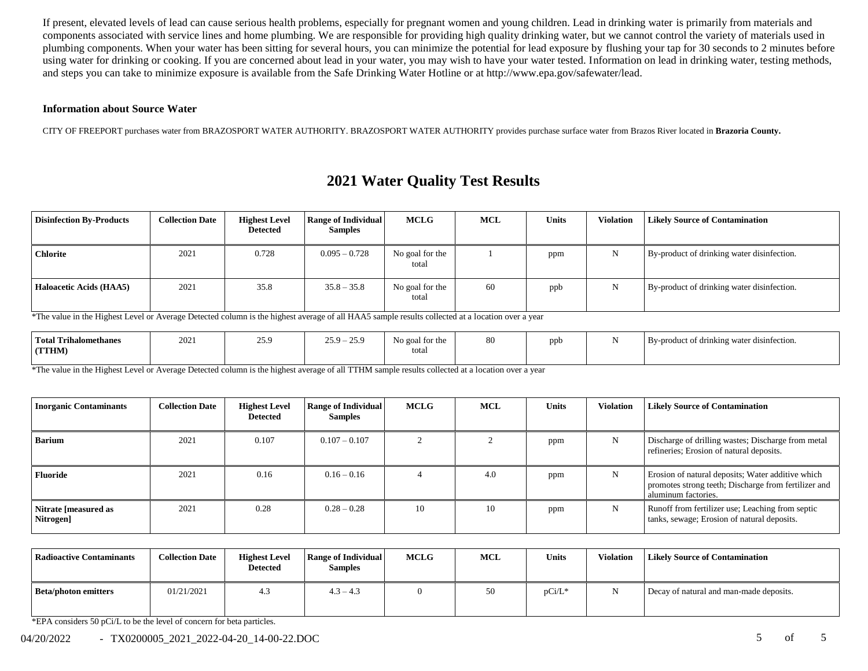If present, elevated levels of lead can cause serious health problems, especially for pregnant women and young children. Lead in drinking water is primarily from materials and components associated with service lines and home plumbing. We are responsible for providing high quality drinking water, but we cannot control the variety of materials used in plumbing components. When your water has been sitting for several hours, you can minimize the potential for lead exposure by flushing your tap for 30 seconds to 2 minutes before using water for drinking or cooking. If you are concerned about lead in your water, you may wish to have your water tested. Information on lead in drinking water, testing methods, and steps you can take to minimize exposure is available from the Safe Drinking Water Hotline or at http://www.epa.gov/safewater/lead.

#### **Information about Source Water**

CITY OF FREEPORT purchases water from BRAZOSPORT WATER AUTHORITY. BRAZOSPORT WATER AUTHORITY provides purchase surface water from Brazos River located in **Brazoria County.**

## **2021 Water Quality Test Results**

| <b>Disinfection By-Products</b> | <b>Collection Date</b> | <b>Highest Level</b><br>Detected | <b>Range of Individual</b><br><b>Samples</b> | <b>MCLG</b>              | MCL | <b>Units</b> | Violation | <b>Likely Source of Contamination</b>      |
|---------------------------------|------------------------|----------------------------------|----------------------------------------------|--------------------------|-----|--------------|-----------|--------------------------------------------|
| <b>Chlorite</b>                 | 2021                   | 0.728                            | $0.095 - 0.728$                              | No goal for the<br>total |     | ppm          | N         | By-product of drinking water disinfection. |
| Haloacetic Acids (HAA5)         | 2021                   | 35.8                             | $35.8 - 35.8$                                | No goal for the<br>total | 60  | ppb          | N         | By-product of drinking water disinfection. |

\*The value in the Highest Level or Average Detected column is the highest average of all HAA5 sample results collected at a location over a year

| <b>Total Trihalomethanes</b><br>(TTHM) | 2021 | 25Q<br>ر،رے | $-25.9$<br>259.<br>--- | No goal for the<br>total | 80 | nnt | . . | By-product of drinking water disinfection. |
|----------------------------------------|------|-------------|------------------------|--------------------------|----|-----|-----|--------------------------------------------|
|                                        |      |             |                        |                          |    |     |     |                                            |

\*The value in the Highest Level or Average Detected column is the highest average of all TTHM sample results collected at a location over a year

| <b>Inorganic Contaminants</b>     | <b>Collection Date</b> | <b>Highest Level</b><br>Detected | <b>Range of Individual</b><br><b>Samples</b> | MCLG | <b>MCL</b> | <b>Units</b> | <b>Violation</b> | <b>Likely Source of Contamination</b>                                                                                            |
|-----------------------------------|------------------------|----------------------------------|----------------------------------------------|------|------------|--------------|------------------|----------------------------------------------------------------------------------------------------------------------------------|
| <b>Barium</b>                     | 2021                   | 0.107                            | $0.107 - 0.107$                              |      |            | ppm          | N                | Discharge of drilling wastes; Discharge from metal<br>refineries; Erosion of natural deposits.                                   |
| <b>Fluoride</b>                   | 2021                   | 0.16                             | $0.16 - 0.16$                                |      | 4.0        | ppm          | N                | Erosion of natural deposits; Water additive which<br>promotes strong teeth; Discharge from fertilizer and<br>aluminum factories. |
| Nitrate [measured as<br>Nitrogen] | 2021                   | 0.28                             | $0.28 - 0.28$                                | 10   | 10         | ppm          | N                | Runoff from fertilizer use; Leaching from septic<br>tanks, sewage; Erosion of natural deposits.                                  |

| Radioactive Contaminants    | <b>Collection Date</b> | <b>Highest Level</b><br><b>Detected</b> | <b>Range of Individual</b><br><b>Samples</b> | <b>MCLG</b> | <b>MCL</b> | <b>Units</b> | Violation | <b>Likely Source of Contamination</b>   |
|-----------------------------|------------------------|-----------------------------------------|----------------------------------------------|-------------|------------|--------------|-----------|-----------------------------------------|
| <b>Beta/photon emitters</b> | 01/21/2021             | 4.3                                     | $4.3 - 4.3$                                  |             | 50         | $pCi/L^*$    |           | Decay of natural and man-made deposits. |

\*EPA considers 50 pCi/L to be the level of concern for beta particles.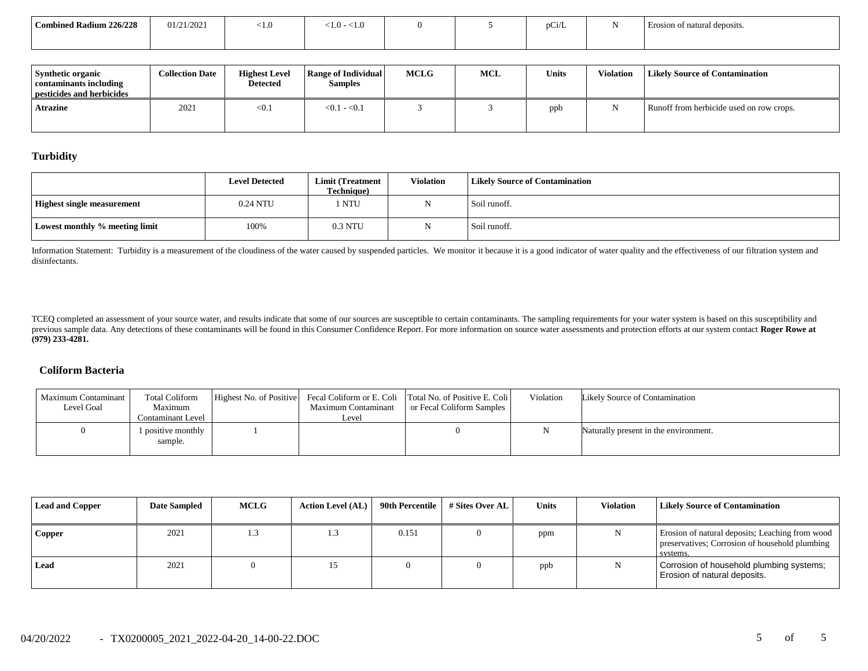| Combined Radium 226/228 | 01/21/2021 | <1.0 | - 1.0<br>< 1.0 |  | $\sim$<br>pC <sub>1</sub> /L | Erosion of natural deposits. |
|-------------------------|------------|------|----------------|--|------------------------------|------------------------------|
|                         |            |      |                |  |                              |                              |

| Synthetic organic<br>contaminants including<br>pesticides and herbicides | <b>Collection Date</b> | <b>Highest Level</b><br><b>Detected</b> | <b>Range of Individual</b><br><b>Samples</b> | <b>MCLG</b> | <b>MCL</b> | <b>Units</b> | Violation | Likely Source of Contamination           |
|--------------------------------------------------------------------------|------------------------|-----------------------------------------|----------------------------------------------|-------------|------------|--------------|-----------|------------------------------------------|
| Atrazine                                                                 | 2021                   | < 0.1                                   | $< 0.1 - 0.1$                                |             |            | ppb          |           | Runoff from herbicide used on row crops. |

### **Turbidity**

|                                   | <b>Level Detected</b> | Limit (Treatment<br><b>Technique</b> ) | <b>Violation</b> | <b>Likely Source of Contamination</b> |
|-----------------------------------|-----------------------|----------------------------------------|------------------|---------------------------------------|
| <b>Highest single measurement</b> | 0.24 NTU              | <b>NTU</b>                             |                  | Soil runoff.                          |
| Lowest monthly % meeting limit    | 100%                  | 0.3 NTU                                |                  | Soil runoff.                          |

Information Statement: Turbidity is a measurement of the cloudiness of the water caused by suspended particles. We monitor it because it is a good indicator of water quality and the effectiveness of our filtration system a disinfectants.

TCEQ completed an assessment of your source water, and results indicate that some of our sources are susceptible to certain contaminants. The sampling requirements for your water system is based on this susceptibility and previous sample data. Any detections of these contaminants will be found in this Consumer Confidence Report. For more information on source water assessments and protection efforts at our system contact Roger Rowe at **(979) 233-4281.**

### **Coliform Bacteria**

| Maximum Contaminant<br>Level Goal | Total Coliform<br>Maximum<br>Contaminant Level | Maximum Contaminant<br>Level | Highest No. of Positive Fecal Coliform or E. Coli Total No. of Positive E. Coli<br>or Fecal Coliform Samples | Violation | Likely Source of Contamination        |
|-----------------------------------|------------------------------------------------|------------------------------|--------------------------------------------------------------------------------------------------------------|-----------|---------------------------------------|
|                                   | 1 positive monthly<br>sample.                  |                              |                                                                                                              |           | Naturally present in the environment. |

| <b>Lead and Copper</b> | <b>Date Sampled</b> | <b>MCLG</b> | <b>Action Level (AL)</b> | 90th Percentile | # Sites Over AL | Units | <b>Violation</b> | <b>Likely Source of Contamination</b>                                                                         |
|------------------------|---------------------|-------------|--------------------------|-----------------|-----------------|-------|------------------|---------------------------------------------------------------------------------------------------------------|
| Copper                 | 2021                | 1.3         |                          | 0.151           |                 | ppm   |                  | Erosion of natural deposits; Leaching from wood<br>preservatives; Corrosion of household plumbing<br>systems. |
| Lead                   | 2021                |             | 15                       |                 |                 | ppb   |                  | Corrosion of household plumbing systems;<br>Erosion of natural deposits.                                      |